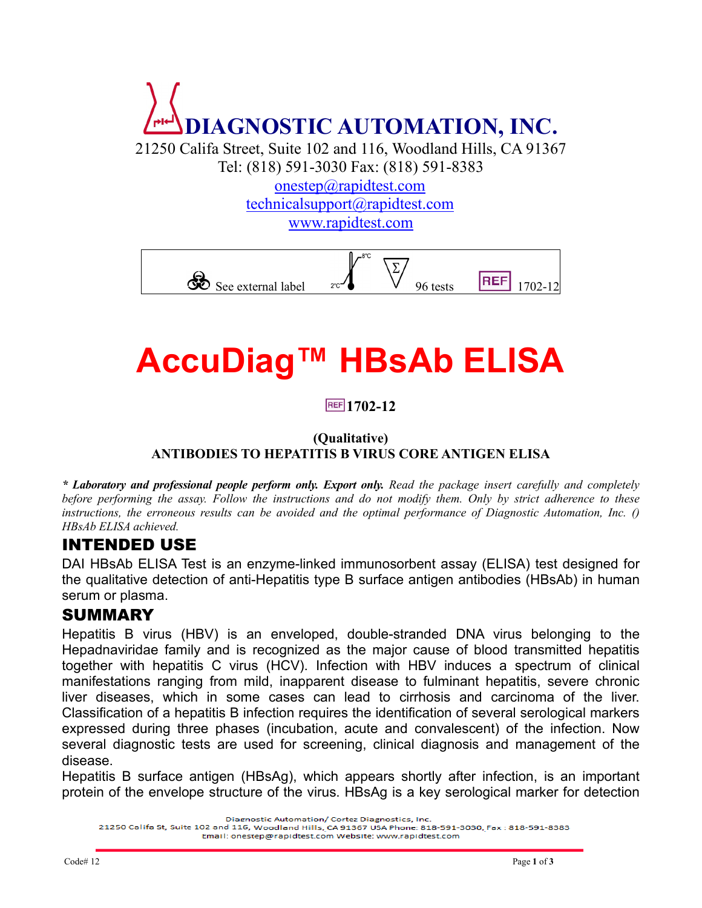

21250 Califa Street, Suite 102 and 116, Woodland Hills, CA 91367 Tel: (818) 591-3030 Fax: (818) 591-8383

> onestep@rapidtest.com technicalsupport@rapidtest.com [www.rapidtest.com](http://www.rapidtest.com/)



# **AccuDiag™ HBsAb ELISA**

#### **1702-12**

#### **(Qualitative) ANTIBODIES TO HEPATITIS B VIRUS CORE ANTIGEN ELISA**

*\* Laboratory and professional people perform only. Export only. Read the package insert carefully and completely before performing the assay. Follow the instructions and do not modify them. Only by strict adherence to these instructions, the erroneous results can be avoided and the optimal performance of Diagnostic Automation, Inc. () HBsAb ELISA achieved.*

#### INTENDED USE

DAI HBsAb ELISA Test is an enzyme-linked immunosorbent assay (ELISA) test designed for the qualitative detection of anti-Hepatitis type B surface antigen antibodies (HBsAb) in human serum or plasma.

#### SUMMARY

Hepatitis B virus (HBV) is an enveloped, double-stranded DNA virus belonging to the Hepadnaviridae family and is recognized as the major cause of blood transmitted hepatitis together with hepatitis C virus (HCV). Infection with HBV induces a spectrum of clinical manifestations ranging from mild, inapparent disease to fulminant hepatitis, severe chronic liver diseases, which in some cases can lead to cirrhosis and carcinoma of the liver. Classification of a hepatitis B infection requires the identification of several serological markers expressed during three phases (incubation, acute and convalescent) of the infection. Now several diagnostic tests are used for screening, clinical diagnosis and management of the disease.

Hepatitis B surface antigen (HBsAg), which appears shortly after infection, is an important protein of the envelope structure of the virus. HBsAg is a key serological marker for detection

Diagnostic Automation/ Cortez Diagnostics, Inc.

21250 Califa St, Suite 102 and 116, Woodland Hills, CA 91367 USA Phone: 818-591-3030, Fax: 818-591-8383 Email: onestep@rapidtest.com Website: www.rapidtest.com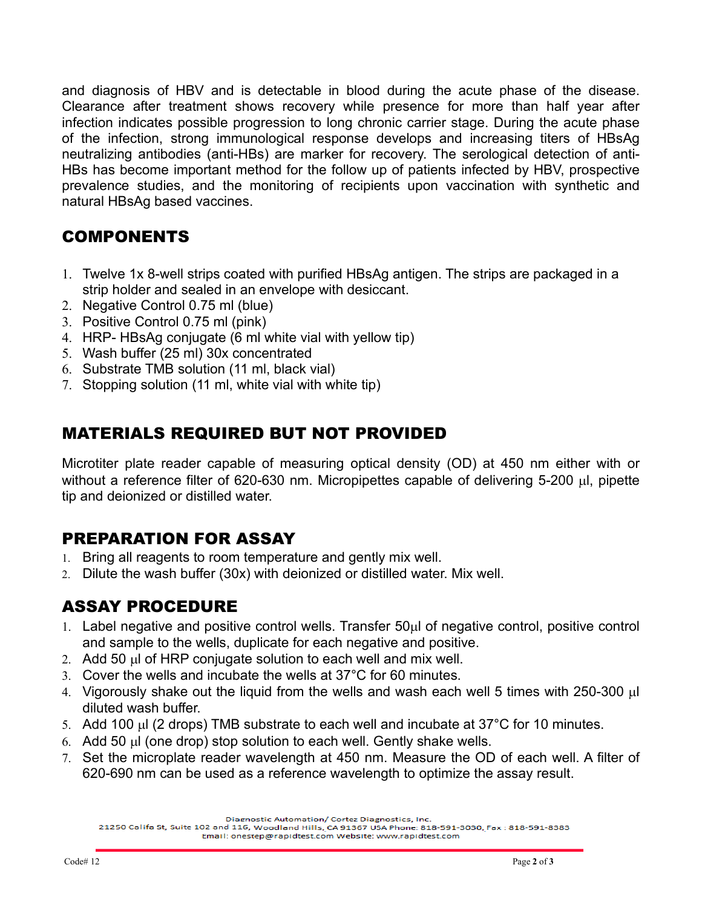and diagnosis of HBV and is detectable in blood during the acute phase of the disease. Clearance after treatment shows recovery while presence for more than half year after infection indicates possible progression to long chronic carrier stage. During the acute phase of the infection, strong immunological response develops and increasing titers of HBsAg neutralizing antibodies (anti-HBs) are marker for recovery. The serological detection of anti-HBs has become important method for the follow up of patients infected by HBV, prospective prevalence studies, and the monitoring of recipients upon vaccination with synthetic and natural HBsAg based vaccines.

#### COMPONENTS

- 1. Twelve 1x 8-well strips coated with purified HBsAg antigen. The strips are packaged in a strip holder and sealed in an envelope with desiccant.
- 2. Negative Control 0.75 ml (blue)
- 3. Positive Control 0.75 ml (pink)
- 4. HRP- HBsAg conjugate (6 ml white vial with yellow tip)
- 5. Wash buffer (25 ml) 30x concentrated
- 6. Substrate TMB solution (11 ml, black vial)
- 7. Stopping solution (11 ml, white vial with white tip)

# MATERIALS REQUIRED BUT NOT PROVIDED

Microtiter plate reader capable of measuring optical density (OD) at 450 nm either with or without a reference filter of 620-630 nm. Micropipettes capable of delivering 5-200 µl, pipette tip and deionized or distilled water.

# PREPARATION FOR ASSAY

- 1. Bring all reagents to room temperature and gently mix well.
- 2. Dilute the wash buffer (30x) with deionized or distilled water. Mix well.

# ASSAY PROCEDURE

- 1. Label negative and positive control wells. Transfer  $50\mu$  of negative control, positive control and sample to the wells, duplicate for each negative and positive.
- 2. Add 50 µl of HRP conjugate solution to each well and mix well.
- 3. Cover the wells and incubate the wells at 37°C for 60 minutes.
- 4. Vigorously shake out the liquid from the wells and wash each well 5 times with 250-300 µl diluted wash buffer.
- 5. Add 100  $\mu$ I (2 drops) TMB substrate to each well and incubate at 37°C for 10 minutes.
- 6. Add 50 µl (one drop) stop solution to each well. Gently shake wells.
- 7. Set the microplate reader wavelength at 450 nm. Measure the OD of each well. A filter of 620-690 nm can be used as a reference wavelength to optimize the assay result.

Diagnostic Automation/ Cortez Diagnostics, Inc.

21250 Califa St, Suite 102 and 116, Woodland Hills, CA 91367 USA Phone: 818-591-3030, Fax: 818-591-8383 Email: onestep@rapidtest.com Website: www.rapidtest.com